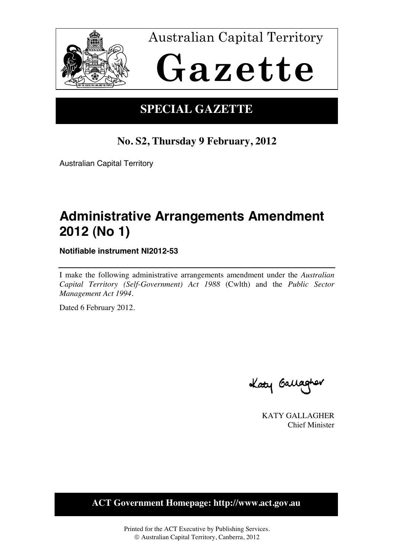

Australian Capital Territory

# **Gazette**

## **SPECIAL GAZETTE**

## **No. S2, Thursday 9 February, 2012**

Australian Capital Territory

# **Administrative Arrangements Amendment 2012 (No 1)**

**Notifiable instrument NI2012-53** 

I make the following administrative arrangements amendment under the *Australian Capital Territory (Self-Government) Act 1988* (Cwlth) and the *Public Sector Management Act 1994*.

Dated 6 February 2012.

Laty Gallagher

KATY GALLAGHER Chief Minister

**ACT Government Homepage: http://www.act.gov.au**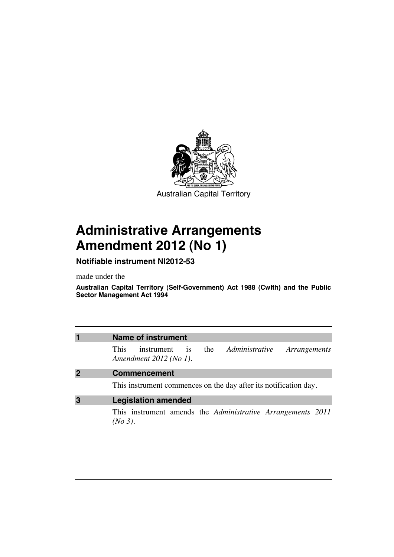

# **Administrative Arrangements Amendment 2012 (No 1)**

## **Notifiable instrument NI2012-53**

made under the

**Australian Capital Territory (Self-Government) Act 1988 (Cwlth) and the Public Sector Management Act 1994** 

| $\overline{\mathbf{1}}$ | <b>Name of instrument</b>                                                                                      |
|-------------------------|----------------------------------------------------------------------------------------------------------------|
|                         | the Administrative<br><b>This</b><br>instrument<br>Arrangements<br>$\overline{1}S$<br>Amendment $2012$ (No 1). |
| $\overline{2}$          | <b>Commencement</b>                                                                                            |
|                         | This instrument commences on the day after its notification day.                                               |
| 3                       | <b>Legislation amended</b>                                                                                     |
|                         | This instrument amends the <i>Administrative Arrangements</i> 2011<br>$(No 3)$ .                               |